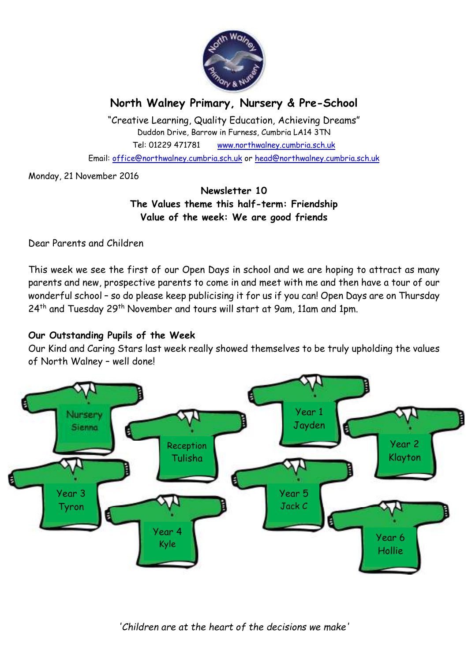

# **North Walney Primary, Nursery & Pre-School**

"Creative Learning, Quality Education, Achieving Dreams" Duddon Drive, Barrow in Furness, Cumbria LA14 3TN Tel: 01229 471781 www.northwalney.cumbria.sch.uk Email: office@northwalney.cumbria.sch.uk or head@northwalney.cumbria.sch.uk

Monday, 21 November 2016

## **Newsletter 10 The Values theme this half-term: Friendship Value of the week: We are good friends**

Dear Parents and Children

This week we see the first of our Open Days in school and we are hoping to attract as many parents and new, prospective parents to come in and meet with me and then have a tour of our wonderful school – so do please keep publicising it for us if you can! Open Days are on Thursday 24<sup>th</sup> and Tuesday 29<sup>th</sup> November and tours will start at 9am, 11am and 1pm.

## **Our Outstanding Pupils of the Week**

Our Kind and Caring Stars last week really showed themselves to be truly upholding the values of North Walney – well done!

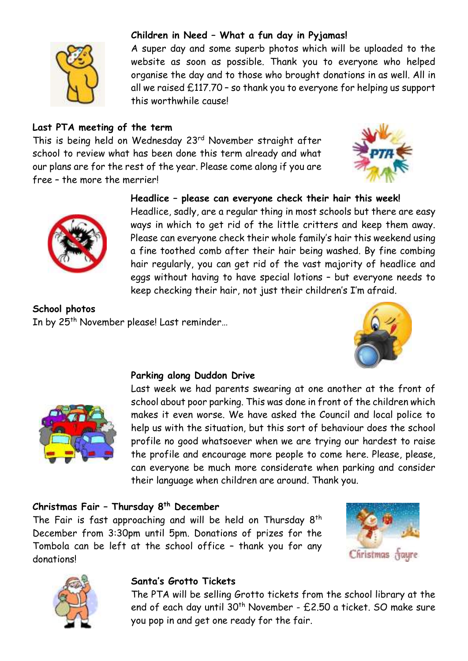

### **Children in Need – What a fun day in Pyjamas!**

A super day and some superb photos which will be uploaded to the website as soon as possible. Thank you to everyone who helped organise the day and to those who brought donations in as well. All in all we raised £117.70 – so thank you to everyone for helping us support this worthwhile cause!

#### **Last PTA meeting of the term**

This is being held on Wednesday 23<sup>rd</sup> November straight after school to review what has been done this term already and what our plans are for the rest of the year. Please come along if you are free – the more the merrier!





### **Headlice – please can everyone check their hair this week!**

Headlice, sadly, are a regular thing in most schools but there are easy ways in which to get rid of the little critters and keep them away. Please can everyone check their whole family's hair this weekend using a fine toothed comb after their hair being washed. By fine combing hair regularly, you can get rid of the vast majority of headlice and eggs without having to have special lotions – but everyone needs to keep checking their hair, not just their children's I'm afraid.

**School photos** In by 25<sup>th</sup> November please! Last reminder...





#### **Parking along Duddon Drive**

Last week we had parents swearing at one another at the front of school about poor parking. This was done in front of the children which makes it even worse. We have asked the Council and local police to help us with the situation, but this sort of behaviour does the school profile no good whatsoever when we are trying our hardest to raise the profile and encourage more people to come here. Please, please, can everyone be much more considerate when parking and consider their language when children are around. Thank you.

## **Christmas Fair – Thursday 8th December**

The Fair is fast approaching and will be held on Thursday  $8<sup>th</sup>$ December from 3:30pm until 5pm. Donations of prizes for the Tombola can be left at the school office – thank you for any donations!





#### **Santa's Grotto Tickets**

The PTA will be selling Grotto tickets from the school library at the end of each day until 30<sup>th</sup> November - £2.50 a ticket. SO make sure you pop in and get one ready for the fair.